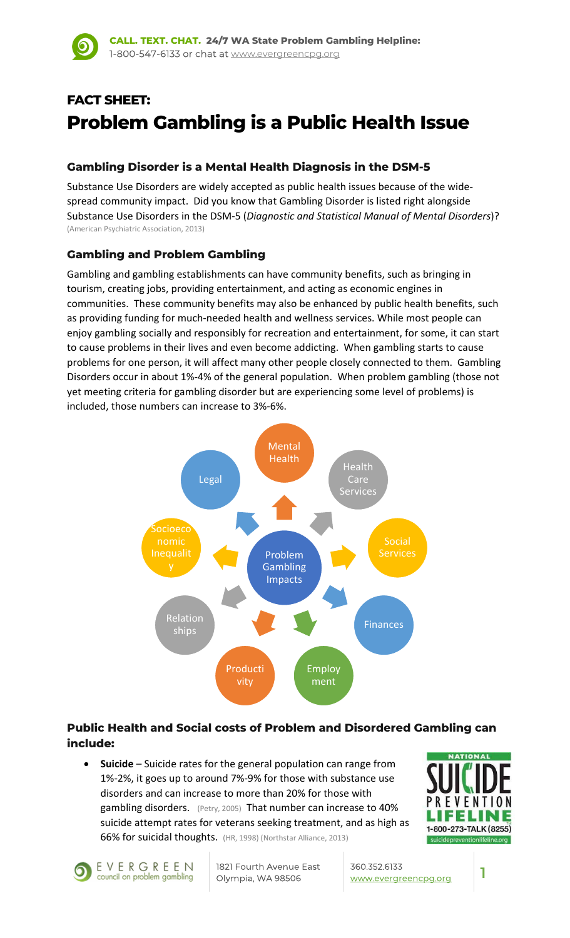# **FACT SHEET: Problem Gambling is a Public Health Issue**

### **Gambling Disorder is a Mental Health Diagnosis in the DSM-5**

Substance Use Disorders are widely accepted as public health issues because of the wide‐ spread community impact. Did you know that Gambling Disorder is listed right alongside Substance Use Disorders in the DSM‐5 (*Diagnostic and Statistical Manual of Mental Disorders*)? (American Psychiatric Association, 2013)

#### **Gambling and Problem Gambling**

Gambling and gambling establishments can have community benefits, such as bringing in tourism, creating jobs, providing entertainment, and acting as economic engines in communities. These community benefits may also be enhanced by public health benefits, such as providing funding for much‐needed health and wellness services. While most people can enjoy gambling socially and responsibly for recreation and entertainment, for some, it can start to cause problems in their lives and even become addicting. When gambling starts to cause problems for one person, it will affect many other people closely connected to them. Gambling Disorders occur in about 1%‐4% of the general population. When problem gambling (those not yet meeting criteria for gambling disorder but are experiencing some level of problems) is included, those numbers can increase to 3%‐6%.



#### **Public Health and Social costs of Problem and Disordered Gambling can include:**

 **Suicide** – Suicide rates for the general population can range from 1%‐2%, it goes up to around 7%‐9% for those with substance use disorders and can increase to more than 20% for those with gambling disorders. (Petry, 2005) That number can increase to 40% suicide attempt rates for veterans seeking treatment, and as high as 66% for suicidal thoughts. (HR, 1998) (Northstar Alliance, 2013)



EVERGREEN council on problem gambling

1821 Fourth Avenue East Olympia, WA 98506

360.352.6133 www.evergreencpg.org **1**

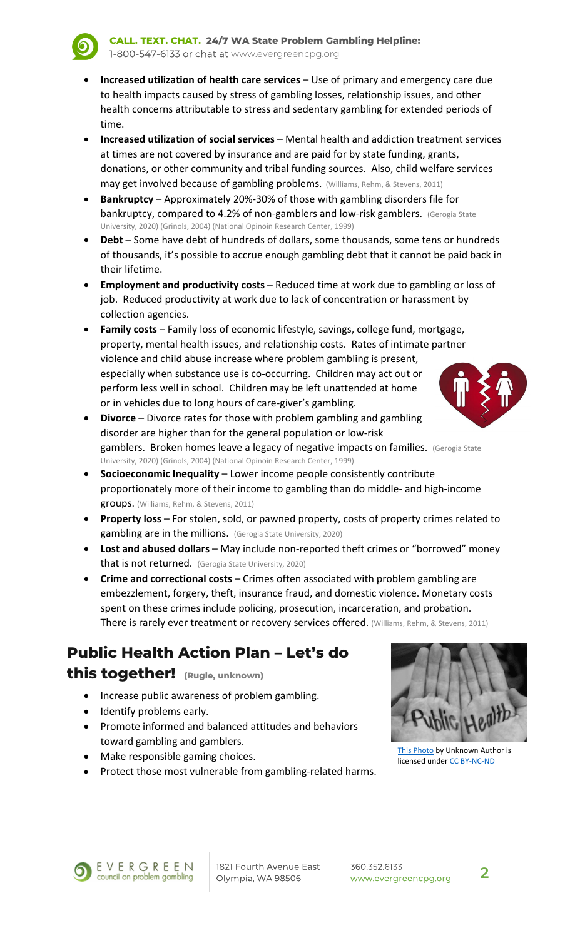- **Increased utilization of health care services** Use of primary and emergency care due to health impacts caused by stress of gambling losses, relationship issues, and other health concerns attributable to stress and sedentary gambling for extended periods of time.
- **Increased utilization of social services** Mental health and addiction treatment services at times are not covered by insurance and are paid for by state funding, grants, donations, or other community and tribal funding sources. Also, child welfare services may get involved because of gambling problems. (Williams, Rehm, & Stevens, 2011)
- **Bankruptcy** Approximately 20%‐30% of those with gambling disorders file for bankruptcy, compared to 4.2% of non-gamblers and low-risk gamblers. (Gerogia State University, 2020) (Grinols, 2004) (National Opinoin Research Center, 1999)
- **Debt** Some have debt of hundreds of dollars, some thousands, some tens or hundreds of thousands, it's possible to accrue enough gambling debt that it cannot be paid back in their lifetime.
- **Employment and productivity costs** Reduced time at work due to gambling or loss of job. Reduced productivity at work due to lack of concentration or harassment by collection agencies.
- **Family costs** Family loss of economic lifestyle, savings, college fund, mortgage, property, mental health issues, and relationship costs. Rates of intimate partner violence and child abuse increase where problem gambling is present, especially when substance use is co‐occurring. Children may act out or perform less well in school. Children may be left unattended at home or in vehicles due to long hours of care‐giver's gambling.
- **Divorce** Divorce rates for those with problem gambling and gambling disorder are higher than for the general population or low‐risk gamblers. Broken homes leave a legacy of negative impacts on families. (Gerogia State University, 2020) (Grinols, 2004) (National Opinoin Research Center, 1999)
- **Socioeconomic Inequality** Lower income people consistently contribute proportionately more of their income to gambling than do middle‐ and high‐income groups. (Williams, Rehm, & Stevens, 2011)
- **Property loss** For stolen, sold, or pawned property, costs of property crimes related to gambling are in the millions. (Gerogia State University, 2020)
- **Lost and abused dollars** May include non‐reported theft crimes or "borrowed" money that is not returned. (Gerogia State University, 2020)
- **Crime and correctional costs** Crimes often associated with problem gambling are embezzlement, forgery, theft, insurance fraud, and domestic violence. Monetary costs spent on these crimes include policing, prosecution, incarceration, and probation. There is rarely ever treatment or recovery services offered. (Williams, Rehm, & Stevens, 2011)

### **Public Health Action Plan – Let's do this together! (Rugle, unknown)**

- Increase public awareness of problem gambling.
- Identify problems early.
- Promote informed and balanced attitudes and behaviors toward gambling and gamblers.
- **Make responsible gaming choices.**
- Protect those most vulnerable from gambling-related harms.



This Photo by Unknown Author is licensed under CC BY‐NC‐ND